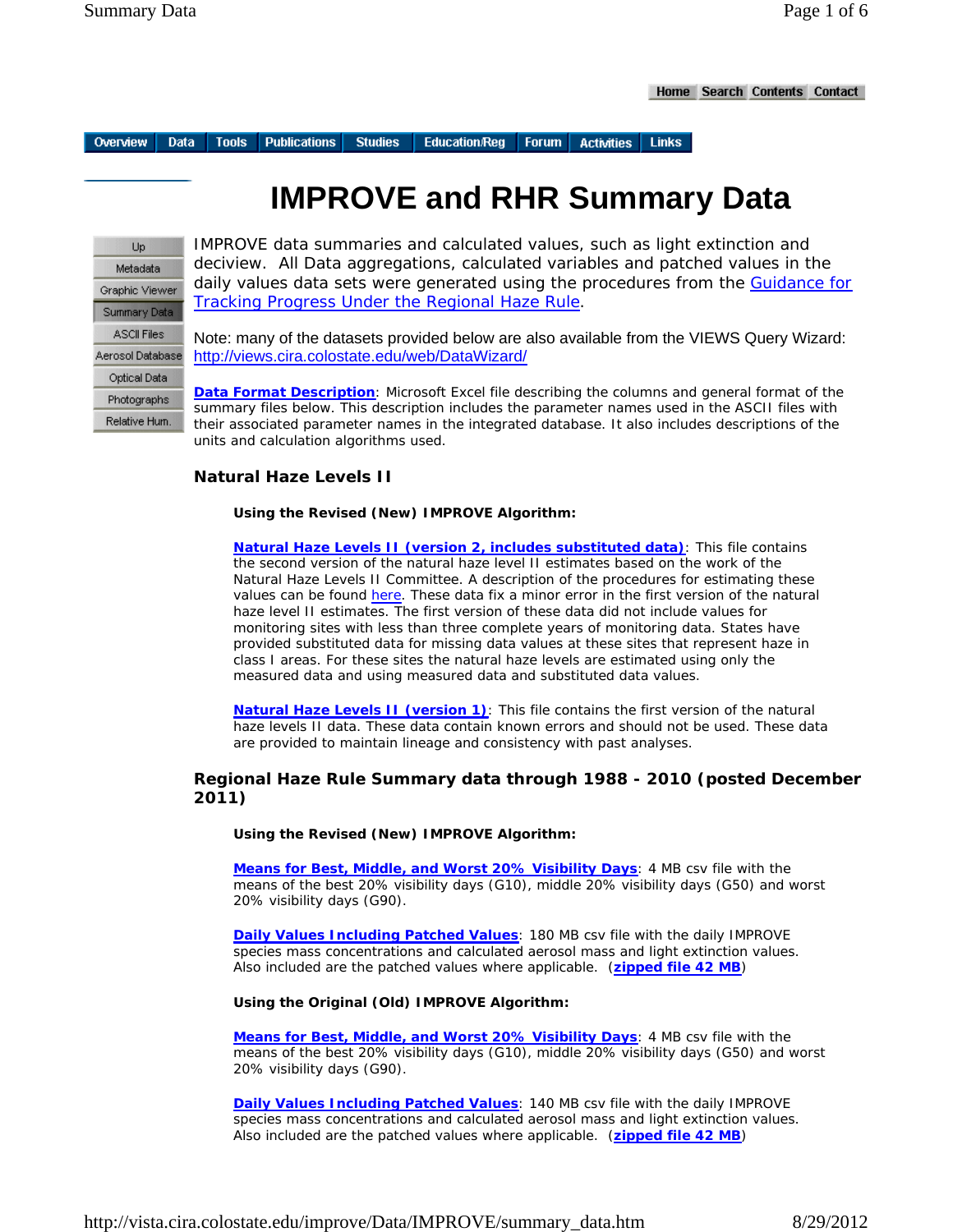Overview **Data** 

**Publications Tools** 

**Studies Education/Reg** Forum | **Activities Links** 

# **IMPROVE and RHR Summary Data**

Up Metadata Graphic Viewer Summary Data **ASCI Files** Aerosol Database Optical Data Photographs Relative Hum.

IMPROVE data summaries and calculated values, such as light extinction and deciview. All Data aggregations, calculated variables and patched values in the daily values data sets were generated using the procedures from the Guidance for Tracking Progress Under the Regional Haze Rule.

Note: many of the datasets provided below are also available from the VIEWS Query Wizard: http://views.cira.colostate.edu/web/DataWizard/

**Data Format Description**: Microsoft Excel file describing the columns and general format of the summary files below. This description includes the parameter names used in the ASCII files with their associated parameter names in the integrated database. It also includes descriptions of the units and calculation algorithms used.

## **Natural Haze Levels II**

**Using the Revised (New) IMPROVE Algorithm:**

**Natural Haze Levels II (version 2, includes substituted data)**: This file contains the second version of the natural haze level II estimates based on the work of the Natural Haze Levels II Committee. A description of the procedures for estimating these values can be found here. These data fix a minor error in the first version of the natural haze level II estimates. The first version of these data did not include values for monitoring sites with less than three complete years of monitoring data. States have provided substituted data for missing data values at these sites that represent haze in class I areas. For these sites the natural haze levels are estimated using only the measured data and using measured data and substituted data values.

**Natural Haze Levels II (version 1)**: This file contains the first version of the natural haze levels II data. These data contain known errors and should not be used. These data are provided to maintain lineage and consistency with past analyses.

## **Regional Haze Rule Summary data through 1988 - 2010 (posted December 2011)**

**Using the Revised (New) IMPROVE Algorithm:**

**Means for Best, Middle, and Worst 20% Visibility Days**: 4 MB csv file with the means of the best 20% visibility days (G10), middle 20% visibility days (G50) and worst 20% visibility days (G90).

**Daily Values Including Patched Values**: 180 MB csv file with the daily IMPROVE species mass concentrations and calculated aerosol mass and light extinction values. Also included are the patched values where applicable. (**zipped file 42 MB**)

#### **Using the Original (Old) IMPROVE Algorithm:**

**Means for Best, Middle, and Worst 20% Visibility Days**: 4 MB csv file with the means of the best 20% visibility days (G10), middle 20% visibility days (G50) and worst 20% visibility days (G90).

**Daily Values Including Patched Values**: 140 MB csv file with the daily IMPROVE species mass concentrations and calculated aerosol mass and light extinction values. Also included are the patched values where applicable. (**zipped file 42 MB**)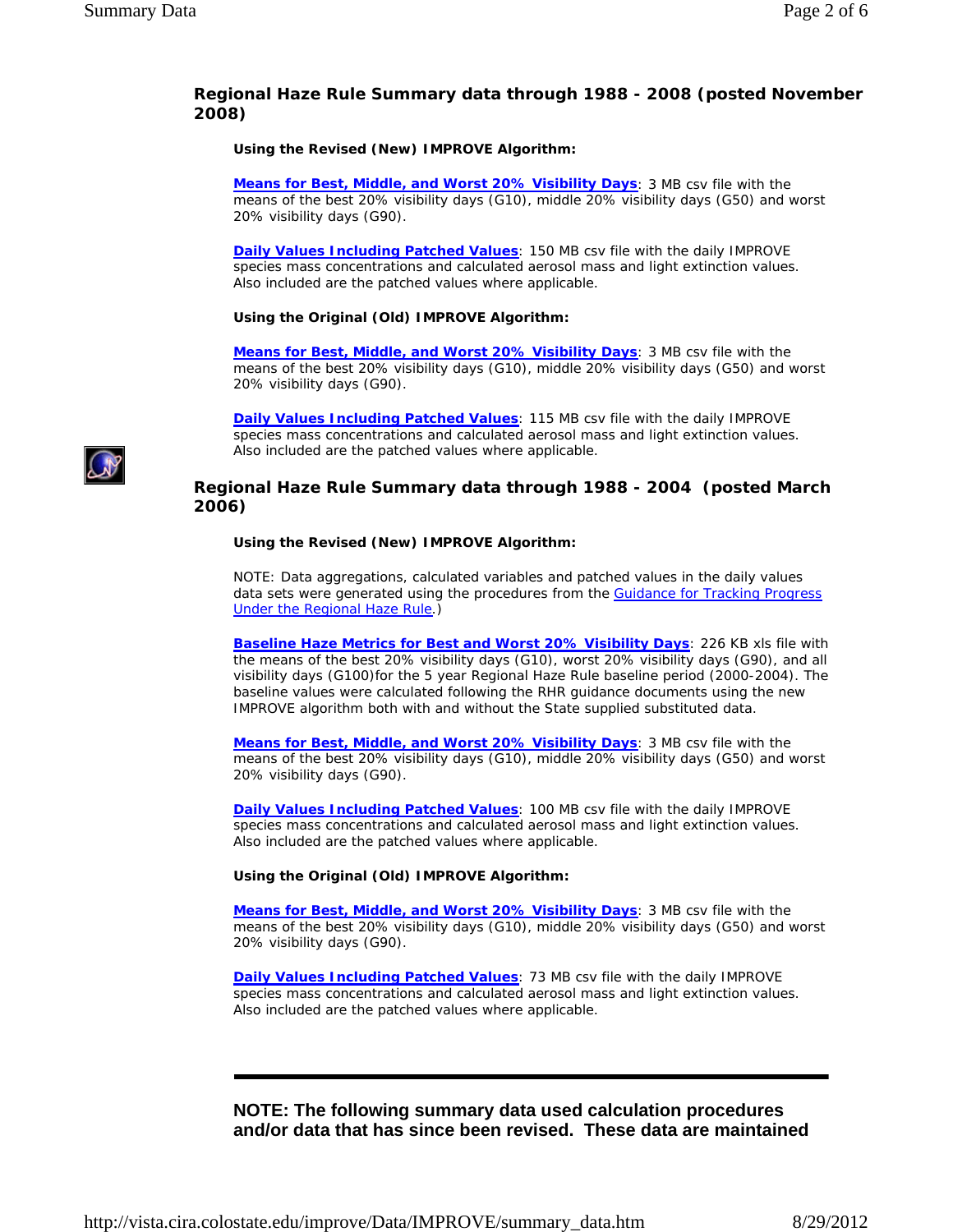## **Regional Haze Rule Summary data through 1988 - 2008 (posted November 2008)**

**Using the Revised (New) IMPROVE Algorithm:**

**Means for Best, Middle, and Worst 20% Visibility Days**: 3 MB csv file with the means of the best 20% visibility days (G10), middle 20% visibility days (G50) and worst 20% visibility days (G90).

**Daily Values Including Patched Values**: 150 MB csv file with the daily IMPROVE species mass concentrations and calculated aerosol mass and light extinction values. Also included are the patched values where applicable.

#### **Using the Original (Old) IMPROVE Algorithm:**

**Means for Best, Middle, and Worst 20% Visibility Days**: 3 MB csv file with the means of the best 20% visibility days (G10), middle 20% visibility days (G50) and worst 20% visibility days (G90).

**Daily Values Including Patched Values**: 115 MB csv file with the daily IMPROVE species mass concentrations and calculated aerosol mass and light extinction values. Also included are the patched values where applicable.

## **Regional Haze Rule Summary data through 1988 - 2004 (posted March 2006)**

#### **Using the Revised (New) IMPROVE Algorithm:**

NOTE: Data aggregations, calculated variables and patched values in the daily values data sets were generated using the procedures from the **Guidance for Tracking Progress** Under the Regional Haze Rule.)

**Baseline Haze Metrics for Best and Worst 20% Visibility Days**: 226 KB xls file with the means of the best 20% visibility days (G10), worst 20% visibility days (G90), and all visibility days (G100)for the 5 year Regional Haze Rule baseline period (2000-2004). The baseline values were calculated following the RHR guidance documents using the new IMPROVE algorithm both with and without the State supplied substituted data.

**Means for Best, Middle, and Worst 20% Visibility Days**: 3 MB csv file with the means of the best 20% visibility days (G10), middle 20% visibility days (G50) and worst 20% visibility days (G90).

**Daily Values Including Patched Values**: 100 MB csv file with the daily IMPROVE species mass concentrations and calculated aerosol mass and light extinction values. Also included are the patched values where applicable.

#### **Using the Original (Old) IMPROVE Algorithm:**

**Means for Best, Middle, and Worst 20% Visibility Days**: 3 MB csv file with the means of the best 20% visibility days (G10), middle 20% visibility days (G50) and worst 20% visibility days (G90).

**Daily Values Including Patched Values**: 73 MB csv file with the daily IMPROVE species mass concentrations and calculated aerosol mass and light extinction values. Also included are the patched values where applicable.

# **NOTE: The following summary data used calculation procedures and/or data that has since been revised. These data are maintained**

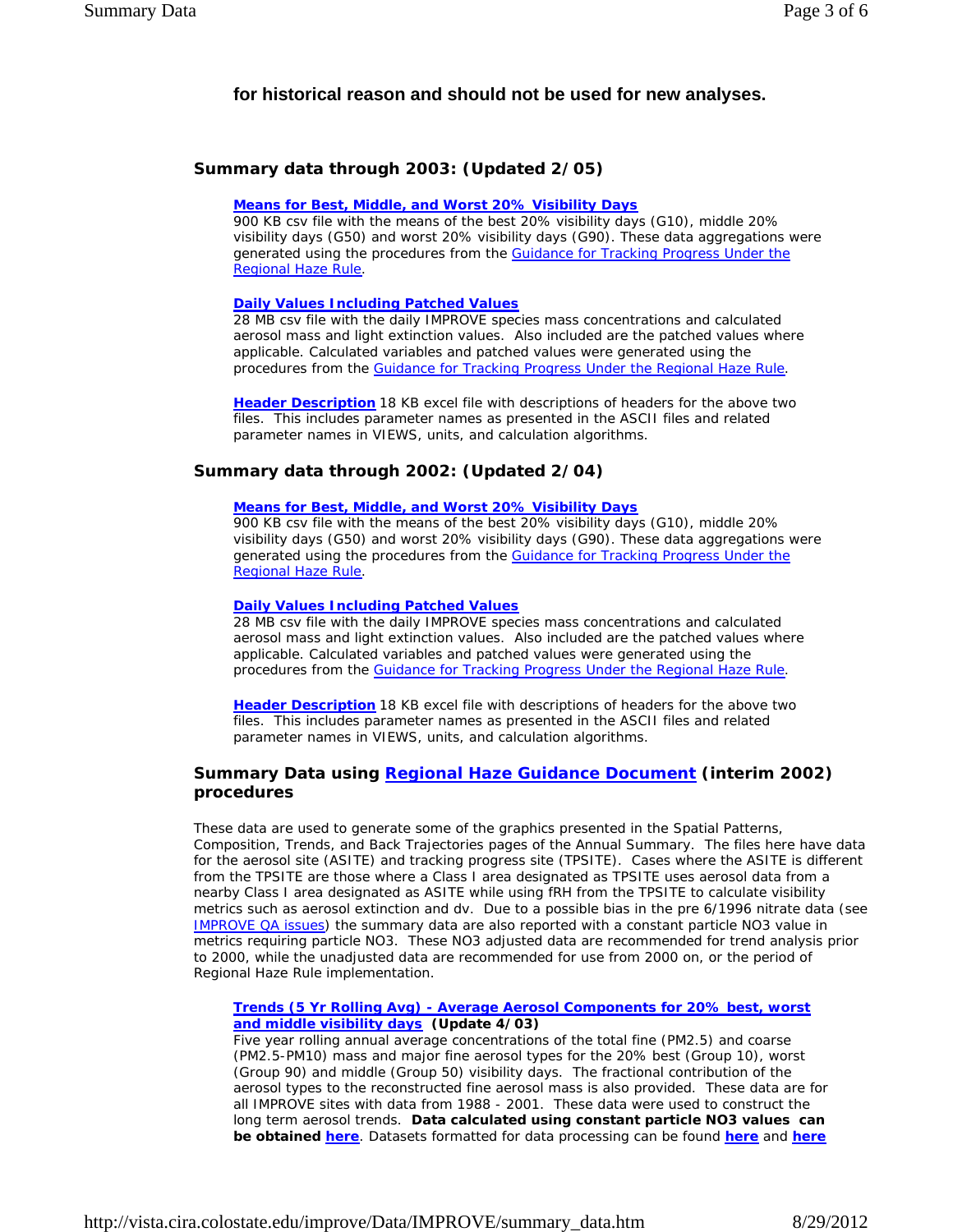## **for historical reason and should not be used for new analyses.**

## **Summary data through 2003: (Updated 2/05)**

#### **Means for Best, Middle, and Worst 20% Visibility Days**

900 KB csv file with the means of the best 20% visibility days (G10), middle 20% visibility days (G50) and worst 20% visibility days (G90). These data aggregations were generated using the procedures from the Guidance for Tracking Progress Under the Regional Haze Rule.

#### **Daily Values Including Patched Values**

28 MB csv file with the daily IMPROVE species mass concentrations and calculated aerosol mass and light extinction values. Also included are the patched values where applicable. Calculated variables and patched values were generated using the procedures from the Guidance for Tracking Progress Under the Regional Haze Rule.

**Header Description** 18 KB excel file with descriptions of headers for the above two files. This includes parameter names as presented in the ASCII files and related parameter names in VIEWS, units, and calculation algorithms.

## **Summary data through 2002: (Updated 2/04)**

#### **Means for Best, Middle, and Worst 20% Visibility Days**

900 KB csv file with the means of the best 20% visibility days (G10), middle 20% visibility days (G50) and worst 20% visibility days (G90). These data aggregations were generated using the procedures from the Guidance for Tracking Progress Under the Regional Haze Rule.

#### **Daily Values Including Patched Values**

28 MB csv file with the daily IMPROVE species mass concentrations and calculated aerosol mass and light extinction values. Also included are the patched values where applicable. Calculated variables and patched values were generated using the procedures from the Guidance for Tracking Progress Under the Regional Haze Rule.

**Header Description** 18 KB excel file with descriptions of headers for the above two files. This includes parameter names as presented in the ASCII files and related parameter names in VIEWS, units, and calculation algorithms.

## **Summary Data using Regional Haze Guidance Document (interim 2002) procedures**

These data are used to generate some of the graphics presented in the Spatial Patterns, Composition, Trends, and Back Trajectories pages of the Annual Summary. The files here have data for the aerosol site (ASITE) and tracking progress site (TPSITE). Cases where the ASITE is different from the TPSITE are those where a Class I area designated as TPSITE uses aerosol data from a nearby Class I area designated as ASITE while using fRH from the TPSITE to calculate visibility metrics such as aerosol extinction and dv. Due to a possible bias in the pre 6/1996 nitrate data (see IMPROVE QA issues) the summary data are also reported with a constant particle NO3 value in metrics requiring particle NO3. These NO3 adjusted data are recommended for trend analysis prior to 2000, while the unadjusted data are recommended for use from 2000 on, or the period of Regional Haze Rule implementation.

#### **Trends (5 Yr Rolling Avg) - Average Aerosol Components for 20% best, worst and middle visibility days (Update 4/03)**

Five year rolling annual average concentrations of the total fine (PM2.5) and coarse (PM2.5-PM10) mass and major fine aerosol types for the 20% best (Group 10), worst (Group 90) and middle (Group 50) visibility days. The fractional contribution of the aerosol types to the reconstructed fine aerosol mass is also provided. These data are for all IMPROVE sites with data from 1988 - 2001. These data were used to construct the long term aerosol trends. **Data calculated using constant particle NO3 values can be obtained here**. Datasets formatted for data processing can be found **here** and **here**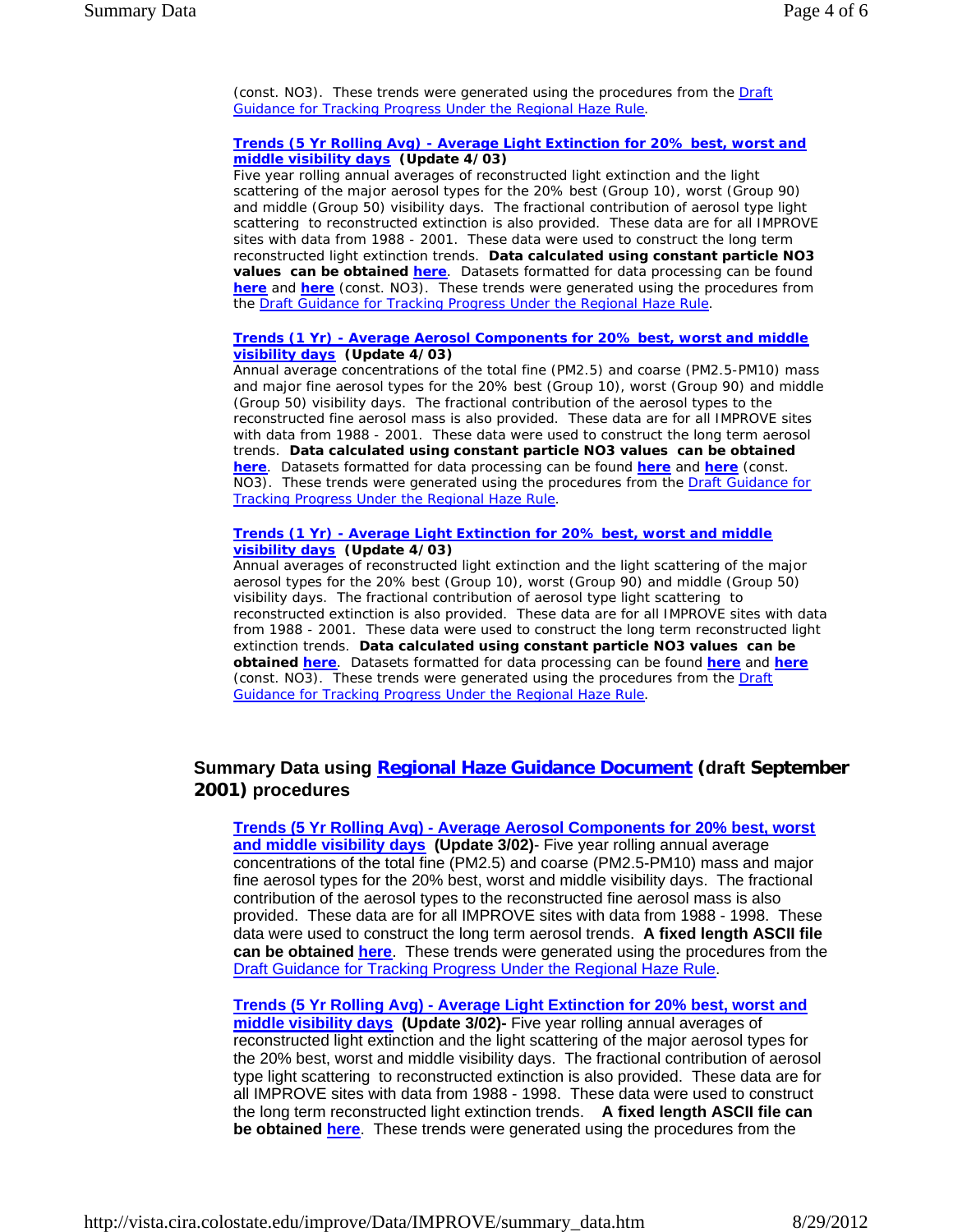(const. NO3). These trends were generated using the procedures from the Draft Guidance for Tracking Progress Under the Regional Haze Rule.

#### **Trends (5 Yr Rolling Avg) - Average Light Extinction for 20% best, worst and middle visibility days (Update 4/03)**

Five year rolling annual averages of reconstructed light extinction and the light scattering of the major aerosol types for the 20% best (Group 10), worst (Group 90) and middle (Group 50) visibility days. The fractional contribution of aerosol type light scattering to reconstructed extinction is also provided. These data are for all IMPROVE sites with data from 1988 - 2001. These data were used to construct the long term reconstructed light extinction trends. **Data calculated using constant particle NO3 values can be obtained here**. Datasets formatted for data processing can be found **here** and **here** (const. NO3). These trends were generated using the procedures from the Draft Guidance for Tracking Progress Under the Regional Haze Rule.

#### **Trends (1 Yr) - Average Aerosol Components for 20% best, worst and middle visibility days (Update 4/03)**

Annual average concentrations of the total fine (PM2.5) and coarse (PM2.5-PM10) mass and major fine aerosol types for the 20% best (Group 10), worst (Group 90) and middle (Group 50) visibility days. The fractional contribution of the aerosol types to the reconstructed fine aerosol mass is also provided. These data are for all IMPROVE sites with data from 1988 - 2001. These data were used to construct the long term aerosol trends. **Data calculated using constant particle NO3 values can be obtained here**. Datasets formatted for data processing can be found **here** and **here** (const. NO3). These trends were generated using the procedures from the **Draft Guidance for** Tracking Progress Under the Regional Haze Rule.

#### **Trends (1 Yr) - Average Light Extinction for 20% best, worst and middle visibility days (Update 4/03)**

Annual averages of reconstructed light extinction and the light scattering of the major aerosol types for the 20% best (Group 10), worst (Group 90) and middle (Group 50) visibility days. The fractional contribution of aerosol type light scattering to reconstructed extinction is also provided. These data are for all IMPROVE sites with data from 1988 - 2001. These data were used to construct the long term reconstructed light extinction trends. **Data calculated using constant particle NO3 values can be obtained here**. Datasets formatted for data processing can be found **here** and **here** (const. NO3). These trends were generated using the procedures from the Draft Guidance for Tracking Progress Under the Regional Haze Rule.

# **Summary Data using Regional Haze Guidance Document (draft September 2001) procedures**

**Trends (5 Yr Rolling Avg) - Average Aerosol Components for 20% best, worst**  and middle visibility days (Update 3/02)- Five year rolling annual average concentrations of the total fine (PM2.5) and coarse (PM2.5-PM10) mass and major fine aerosol types for the 20% best, worst and middle visibility days. The fractional contribution of the aerosol types to the reconstructed fine aerosol mass is also provided. These data are for all IMPROVE sites with data from 1988 - 1998. These data were used to construct the long term aerosol trends. **A fixed length ASCII file can be obtained here**. These trends were generated using the procedures from the Draft Guidance for Tracking Progress Under the Regional Haze Rule.

**Trends (5 Yr Rolling Avg) - Average Light Extinction for 20% best, worst and middle visibility days (Update 3/02)-** Five year rolling annual averages of reconstructed light extinction and the light scattering of the major aerosol types for the 20% best, worst and middle visibility days. The fractional contribution of aerosol type light scattering to reconstructed extinction is also provided. These data are for all IMPROVE sites with data from 1988 - 1998. These data were used to construct the long term reconstructed light extinction trends. **A fixed length ASCII file can be obtained here**. These trends were generated using the procedures from the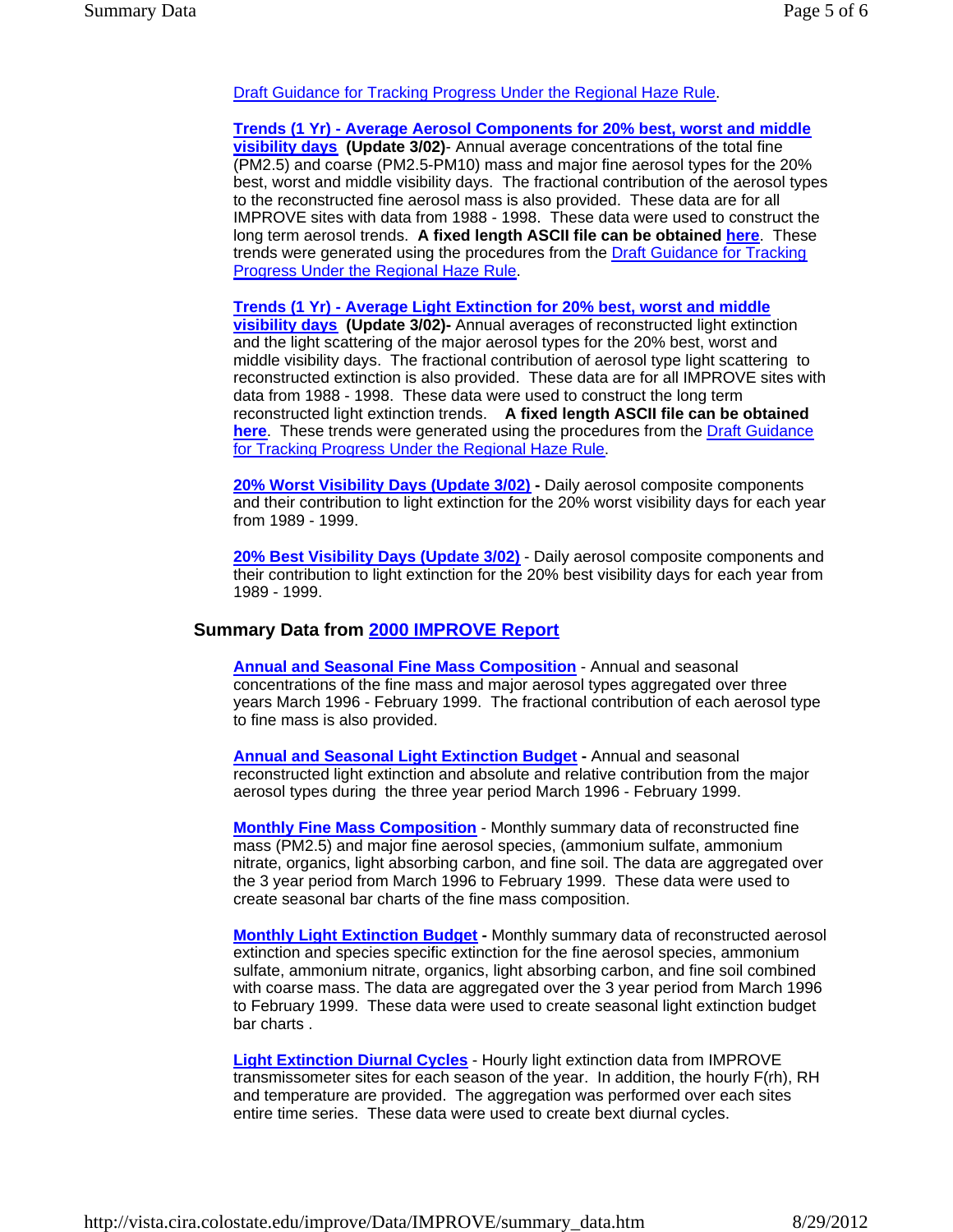## Draft Guidance for Tracking Progress Under the Regional Haze Rule.

**Trends (1 Yr) - Average Aerosol Components for 20% best, worst and middle visibility days (Update 3/02)**- Annual average concentrations of the total fine (PM2.5) and coarse (PM2.5-PM10) mass and major fine aerosol types for the 20% best, worst and middle visibility days. The fractional contribution of the aerosol types to the reconstructed fine aerosol mass is also provided. These data are for all IMPROVE sites with data from 1988 - 1998. These data were used to construct the long term aerosol trends. **A fixed length ASCII file can be obtained here**. These trends were generated using the procedures from the Draft Guidance for Tracking Progress Under the Regional Haze Rule.

**Trends (1 Yr) - Average Light Extinction for 20% best, worst and middle** 

**visibility days (Update 3/02)-** Annual averages of reconstructed light extinction and the light scattering of the major aerosol types for the 20% best, worst and middle visibility days. The fractional contribution of aerosol type light scattering to reconstructed extinction is also provided. These data are for all IMPROVE sites with data from 1988 - 1998. These data were used to construct the long term reconstructed light extinction trends. **A fixed length ASCII file can be obtained here**. These trends were generated using the procedures from the Draft Guidance for Tracking Progress Under the Regional Haze Rule.

**20% Worst Visibility Days (Update 3/02) -** Daily aerosol composite components and their contribution to light extinction for the 20% worst visibility days for each year from 1989 - 1999.

**20% Best Visibility Days (Update 3/02)** - Daily aerosol composite components and their contribution to light extinction for the 20% best visibility days for each year from 1989 - 1999.

#### **Summary Data from 2000 IMPROVE Report**

**Annual and Seasonal Fine Mass Composition** - Annual and seasonal concentrations of the fine mass and major aerosol types aggregated over three years March 1996 - February 1999. The fractional contribution of each aerosol type to fine mass is also provided.

**Annual and Seasonal Light Extinction Budget - Annual and seasonal** reconstructed light extinction and absolute and relative contribution from the major aerosol types during the three year period March 1996 - February 1999.

**Monthly Fine Mass Composition** - Monthly summary data of reconstructed fine mass (PM2.5) and major fine aerosol species, (ammonium sulfate, ammonium nitrate, organics, light absorbing carbon, and fine soil. The data are aggregated over the 3 year period from March 1996 to February 1999. These data were used to create seasonal bar charts of the fine mass composition.

**Monthly Light Extinction Budget -** Monthly summary data of reconstructed aerosol extinction and species specific extinction for the fine aerosol species, ammonium sulfate, ammonium nitrate, organics, light absorbing carbon, and fine soil combined with coarse mass. The data are aggregated over the 3 year period from March 1996 to February 1999. These data were used to create seasonal light extinction budget bar charts .

**Light Extinction Diurnal Cycles** - Hourly light extinction data from IMPROVE transmissometer sites for each season of the year. In addition, the hourly F(rh), RH and temperature are provided. The aggregation was performed over each sites entire time series. These data were used to create bext diurnal cycles.